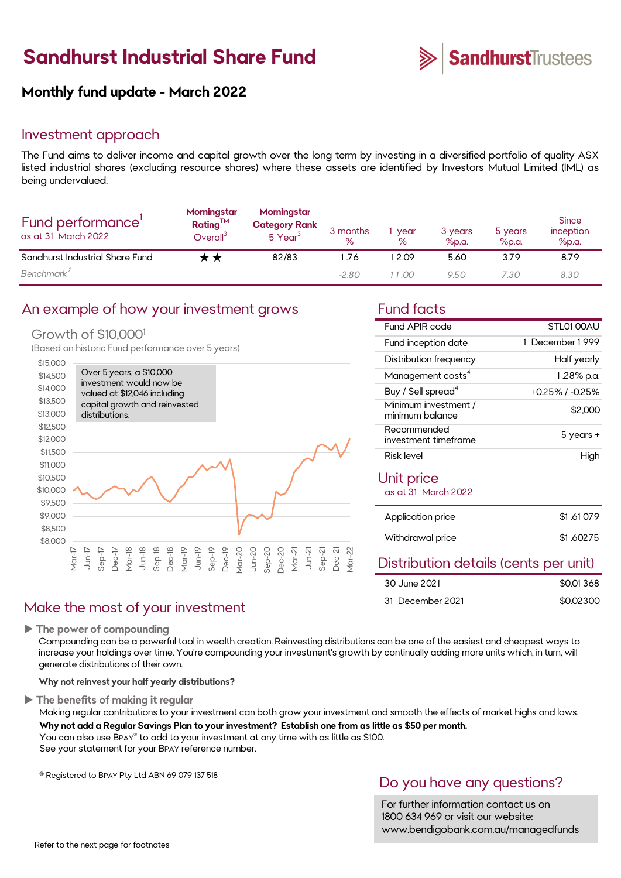# **Sandhurst Industrial Share Fund**



# **Monthly fund update - March 2022**

### Investment approach

The Fund aims to deliver income and capital growth over the long term by investing in a diversified portfolio of quality ASX listed industrial shares (excluding resource shares) where these assets are identified by Investors Mutual Limited (IML) as being undervalued.

| Fund performance'<br>as at 31 March 2022 | Morningstar<br><b>Rating™</b><br>O <sub>verall<sup>3</sup></sub> | Morningstar<br><b>Category Rank</b><br>5 Year <sup>3</sup> | 3 months<br>% | year<br>℅ | 3 years<br>%p.a. | 5 years<br>$%$ p.a. | <b>Since</b><br>inception<br>$%$ p.a. |
|------------------------------------------|------------------------------------------------------------------|------------------------------------------------------------|---------------|-----------|------------------|---------------------|---------------------------------------|
| Sandhurst Industrial Share Fund          |                                                                  | 82/83                                                      | -76           | 2.09      | 5.60             | 3.79                | 8.79                                  |
| Benchmark <sup>2</sup>                   |                                                                  |                                                            | $-2.80$       | 11 00.    | 9.50             | 7.30                | 8.30                                  |

### An example of how your investment grows Fund facts

### Growth of \$10,000<sup>1</sup>

(Based on historic Fund performance over 5 years)



## Make the most of your investment

**The power of compounding**

Compounding can be a powerful tool in wealth creation. Reinvesting distributions can be one of the easiest and cheapest ways to increase your holdings over time. You're compounding your investment's growth by continually adding more units which, in turn, will generate distributions of their own.

**Why not reinvest your half yearly distributions?**

### **The benefits of making it regular**

Making regular contributions to your investment can both grow your investment and smooth the effects of market highs and lows. **Why not add a Regular Savings Plan to your investment? Establish one from as little as \$50 per month.** 

You can also use BPAY® to add to your investment at any time with as little as \$100. See your statement for your BPAY reference number.

® Registered to BPAY Pty Ltd ABN 69 079 137 518

## Do you have any questions?

For further information contact us on 1800 634 969 or visit our website: www.bendigobank.com.au/managedfunds

| Fund APIR code                          | STI 01 00AU           |
|-----------------------------------------|-----------------------|
| Fund inception date                     | December 1999         |
| Distribution frequency                  | Half yearly           |
| Management costs <sup>4</sup>           | 1.28% p.a.            |
| Buy / Sell spread <sup>4</sup>          | $+0.25\%$ / $-0.25\%$ |
| Minimum investment /<br>minimum balance | \$2,000               |
| Recommended<br>investment timeframe     | 5 years +             |
| Risk level                              | High                  |
| Unit price<br>as at 31 March 2022       |                       |

|  | as at 31 March 2022 |
|--|---------------------|
|  |                     |

| Application price | \$1,61079 |
|-------------------|-----------|
| Withdrawal price  | \$1,60275 |

### Distribution details (cents per unit)

| 30 June 2021     | \$0.01368 |
|------------------|-----------|
| 31 December 2021 | \$0.02300 |